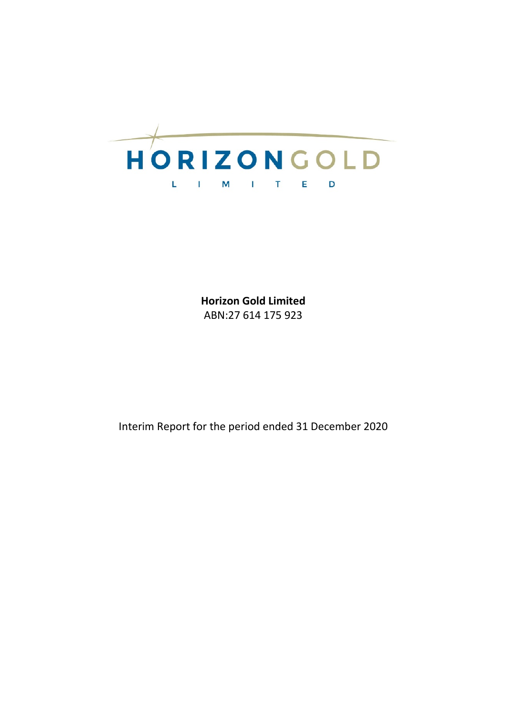

**Horizon Gold Limited** ABN:27 614 175 923

Interim Report for the period ended 31 December 2020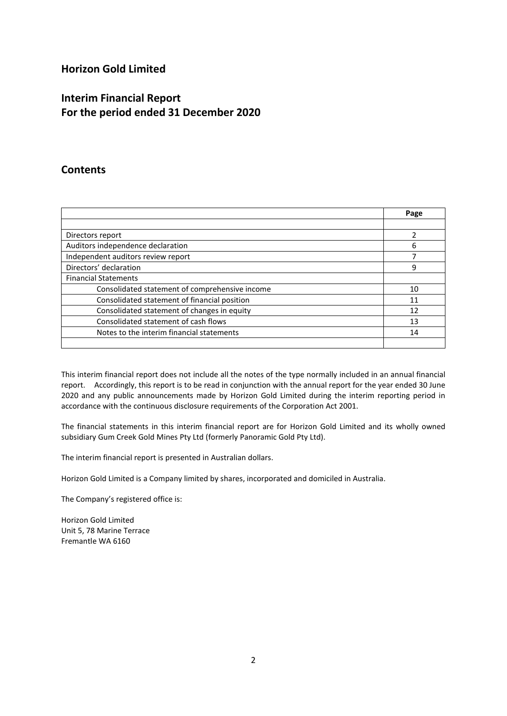# **Horizon Gold Limited**

# **Interim Financial Report For the period ended 31 December 2020**

## **Contents**

|                                                | Page |
|------------------------------------------------|------|
|                                                |      |
| Directors report                               | っ    |
| Auditors independence declaration              | 6    |
| Independent auditors review report             |      |
| Directors' declaration                         | 9    |
| <b>Financial Statements</b>                    |      |
| Consolidated statement of comprehensive income | 10   |
| Consolidated statement of financial position   | 11   |
| Consolidated statement of changes in equity    | 12   |
| Consolidated statement of cash flows           | 13   |
| Notes to the interim financial statements      | 14   |
|                                                |      |

This interim financial report does not include all the notes of the type normally included in an annual financial report. Accordingly, this report is to be read in conjunction with the annual report for the year ended 30 June 2020 and any public announcements made by Horizon Gold Limited during the interim reporting period in accordance with the continuous disclosure requirements of the Corporation Act 2001.

The financial statements in this interim financial report are for Horizon Gold Limited and its wholly owned subsidiary Gum Creek Gold Mines Pty Ltd (formerly Panoramic Gold Pty Ltd).

The interim financial report is presented in Australian dollars.

Horizon Gold Limited is a Company limited by shares, incorporated and domiciled in Australia.

The Company's registered office is:

Horizon Gold Limited Unit 5, 78 Marine Terrace Fremantle WA 6160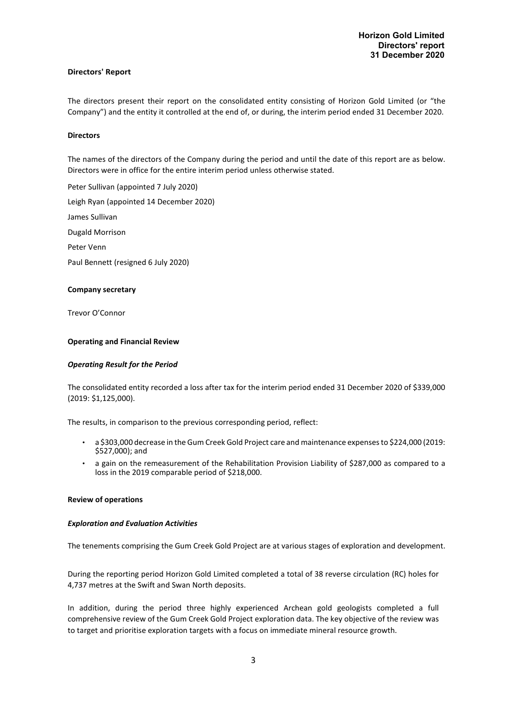#### **Directors' Report**

The directors present their report on the consolidated entity consisting of Horizon Gold Limited (or "the Company") and the entity it controlled at the end of, or during, the interim period ended 31 December 2020.

#### **Directors**

The names of the directors of the Company during the period and until the date of this report are as below. Directors were in office for the entire interim period unless otherwise stated.

Peter Sullivan (appointed 7 July 2020) Leigh Ryan (appointed 14 December 2020) James Sullivan Dugald Morrison Peter Venn Paul Bennett (resigned 6 July 2020)

#### **Company secretary**

Trevor O'Connor

#### **Operating and Financial Review**

#### *Operating Result for the Period*

The consolidated entity recorded a loss after tax for the interim period ended 31 December 2020 of \$339,000 (2019: \$1,125,000).

The results, in comparison to the previous corresponding period, reflect:

- a \$303,000 decrease in the Gum Creek Gold Project care and maintenance expensesto \$224,000 (2019: \$527,000); and
- a gain on the remeasurement of the Rehabilitation Provision Liability of \$287,000 as compared to a loss in the 2019 comparable period of \$218,000.

#### **Review of operations**

#### *Exploration and Evaluation Activities*

The tenements comprising the Gum Creek Gold Project are at various stages of exploration and development.

During the reporting period Horizon Gold Limited completed a total of 38 reverse circulation (RC) holes for 4,737 metres at the Swift and Swan North deposits.

In addition, during the period three highly experienced Archean gold geologists completed a full comprehensive review of the Gum Creek Gold Project exploration data. The key objective of the review was to target and prioritise exploration targets with a focus on immediate mineral resource growth.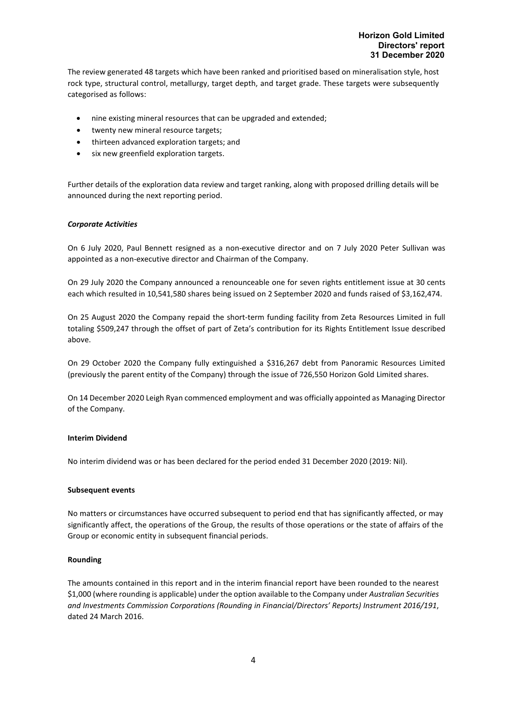The review generated 48 targets which have been ranked and prioritised based on mineralisation style, host rock type, structural control, metallurgy, target depth, and target grade. These targets were subsequently categorised as follows:

- nine existing mineral resources that can be upgraded and extended;
- twenty new mineral resource targets;
- thirteen advanced exploration targets; and
- six new greenfield exploration targets.

Further details of the exploration data review and target ranking, along with proposed drilling details will be announced during the next reporting period.

#### *Corporate Activities*

On 6 July 2020, Paul Bennett resigned as a non-executive director and on 7 July 2020 Peter Sullivan was appointed as a non-executive director and Chairman of the Company.

On 29 July 2020 the Company announced a renounceable one for seven rights entitlement issue at 30 cents each which resulted in 10,541,580 shares being issued on 2 September 2020 and funds raised of \$3,162,474.

On 25 August 2020 the Company repaid the short-term funding facility from Zeta Resources Limited in full totaling \$509,247 through the offset of part of Zeta's contribution for its Rights Entitlement Issue described above.

On 29 October 2020 the Company fully extinguished a \$316,267 debt from Panoramic Resources Limited (previously the parent entity of the Company) through the issue of 726,550 Horizon Gold Limited shares.

On 14 December 2020 Leigh Ryan commenced employment and was officially appointed as Managing Director of the Company.

#### **Interim Dividend**

No interim dividend was or has been declared for the period ended 31 December 2020 (2019: Nil).

#### **Subsequent events**

No matters or circumstances have occurred subsequent to period end that has significantly affected, or may significantly affect, the operations of the Group, the results of those operations or the state of affairs of the Group or economic entity in subsequent financial periods.

#### **Rounding**

The amounts contained in this report and in the interim financial report have been rounded to the nearest \$1,000 (where rounding is applicable) under the option available to the Company under *Australian Securities and Investments Commission Corporations (Rounding in Financial/Directors' Reports) Instrument 2016/191*, dated 24 March 2016.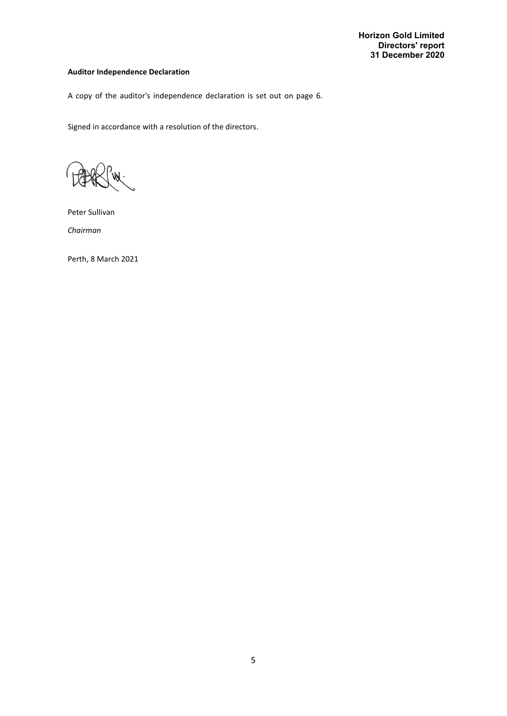### **Auditor Independence Declaration**

A copy of the auditor's independence declaration is set out on page 6.

Signed in accordance with a resolution of the directors.

Peter Sullivan

*Chairman*

Perth, 8 March 2021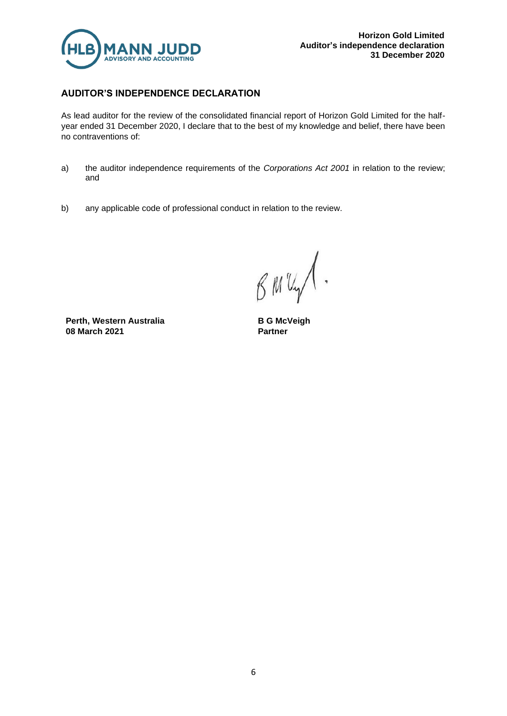

## **AUDITOR'S INDEPENDENCE DECLARATION**

As lead auditor for the review of the consolidated financial report of Horizon Gold Limited for the halfyear ended 31 December 2020, I declare that to the best of my knowledge and belief, there have been no contraventions of:

- a) the auditor independence requirements of the *Corporations Act 2001* in relation to the review; and
- b) any applicable code of professional conduct in relation to the review.

BMUY  $\ddot{\phantom{1}}$ 

**Perth, Western Australia 08 March 2021**

**B G McVeigh Partner**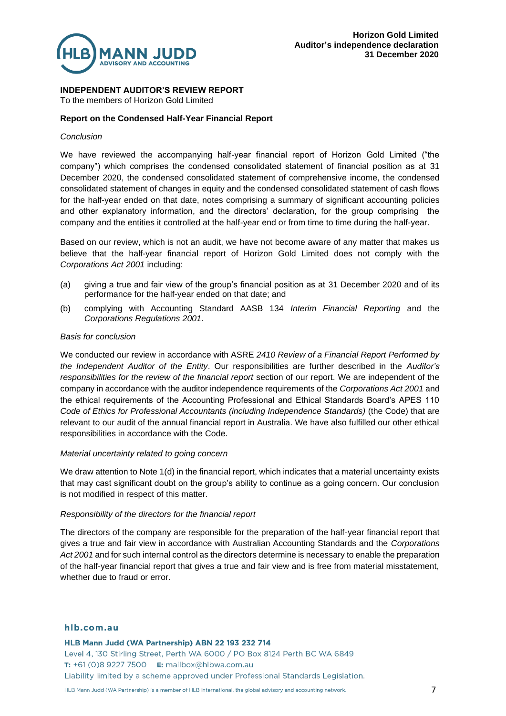

### **INDEPENDENT AUDITOR'S REVIEW REPORT**

To the members of Horizon Gold Limited

### **Report on the Condensed Half-Year Financial Report**

### *Conclusion*

We have reviewed the accompanying half-year financial report of Horizon Gold Limited ("the company") which comprises the condensed consolidated statement of financial position as at 31 December 2020, the condensed consolidated statement of comprehensive income, the condensed consolidated statement of changes in equity and the condensed consolidated statement of cash flows for the half-year ended on that date, notes comprising a summary of significant accounting policies and other explanatory information, and the directors' declaration, for the group comprising the company and the entities it controlled at the half-year end or from time to time during the half-year.

Based on our review, which is not an audit, we have not become aware of any matter that makes us believe that the half-year financial report of Horizon Gold Limited does not comply with the *Corporations Act 2001* including:

- (a) giving a true and fair view of the group's financial position as at 31 December 2020 and of its performance for the half-year ended on that date; and
- (b) complying with Accounting Standard AASB 134 *Interim Financial Reporting* and the *Corporations Regulations 2001*.

### *Basis for conclusion*

We conducted our review in accordance with ASRE *2410 Review of a Financial Report Performed by the Independent Auditor of the Entity*. Our responsibilities are further described in the *Auditor's responsibilities for the review of the financial report* section of our report. We are independent of the company in accordance with the auditor independence requirements of the *Corporations Act 2001* and the ethical requirements of the Accounting Professional and Ethical Standards Board's APES 110 *Code of Ethics for Professional Accountants (including Independence Standards)* (the Code) that are relevant to our audit of the annual financial report in Australia. We have also fulfilled our other ethical responsibilities in accordance with the Code.

### *Material uncertainty related to going concern*

We draw attention to Note 1(d) in the financial report, which indicates that a material uncertainty exists that may cast significant doubt on the group's ability to continue as a going concern. Our conclusion is not modified in respect of this matter.

### *Responsibility of the directors for the financial report*

The directors of the company are responsible for the preparation of the half-year financial report that gives a true and fair view in accordance with Australian Accounting Standards and the *Corporations*  Act 2001 and for such internal control as the directors determine is necessary to enable the preparation of the half-year financial report that gives a true and fair view and is free from material misstatement, whether due to fraud or error.

### hlb.com.au

HLB Mann Judd (WA Partnership) ABN 22 193 232 714

Level 4, 130 Stirling Street, Perth WA 6000 / PO Box 8124 Perth BC WA 6849 T: +61 (0)8 9227 7500 E: mailbox@hlbwa.com.au Liability limited by a scheme approved under Professional Standards Legislation.

HLB Mann Judd (WA Partnership) is a member of HLB International, the global advisory and accounting network.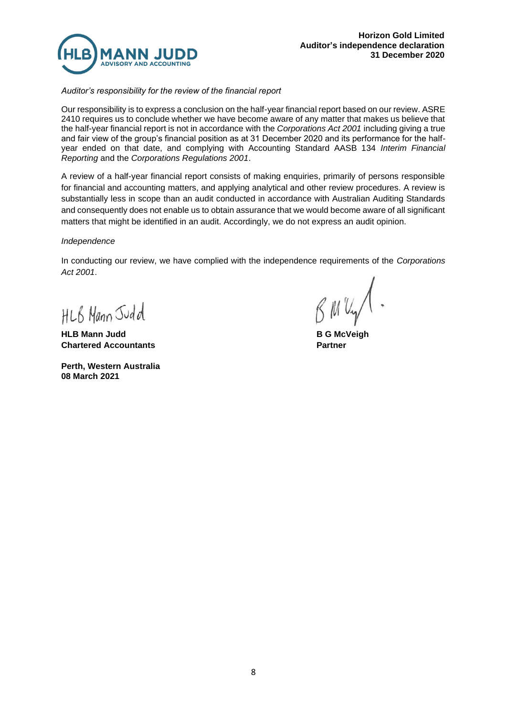

*Auditor's responsibility for the review of the financial report*

Our responsibility is to express a conclusion on the half-year financial report based on our review. ASRE 2410 requires us to conclude whether we have become aware of any matter that makes us believe that the half-year financial report is not in accordance with the *Corporations Act 2001* including giving a true and fair view of the group's financial position as at 31 December 2020 and its performance for the halfyear ended on that date, and complying with Accounting Standard AASB 134 *Interim Financial Reporting* and the *Corporations Regulations 2001*.

A review of a half-year financial report consists of making enquiries, primarily of persons responsible for financial and accounting matters, and applying analytical and other review procedures. A review is substantially less in scope than an audit conducted in accordance with Australian Auditing Standards and consequently does not enable us to obtain assurance that we would become aware of all significant matters that might be identified in an audit. Accordingly, we do not express an audit opinion.

### *Independence*

In conducting our review, we have complied with the independence requirements of the *Corporations Act 2001*.

HLB Mann Judd

**HLB Mann Judd B G McVeigh Chartered Accountants Partner**

**Perth, Western Australia 08 March 2021**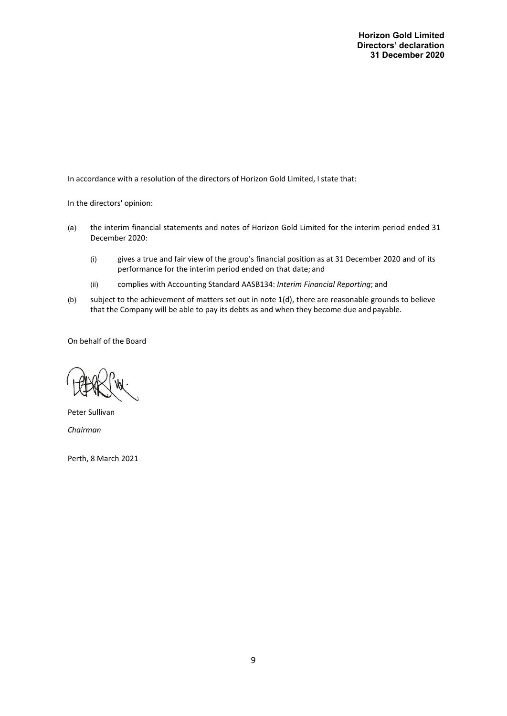**Horizon Gold Limited Directors' declaration 31 December 2020**

In accordance with a resolution of the directors of Horizon Gold Limited, I state that:

In the directors' opinion:

- (a) the interim financial statements and notes of Horizon Gold Limited for the interim period ended 31 December 2020:
	- (i) gives a true and fair view of the group's financial position as at 31 December 2020 and of its performance for the interim period ended on that date; and
	- (ii) complies with Accounting Standard AASB134: *Interim Financial Reporting*; and
- (b) subject to the achievement of matters set out in note 1(d), there are reasonable grounds to believe that the Company will be able to pay its debts as and when they become due and payable.

On behalf of the Board

Peter Sullivan *Chairman*

Perth, 8 March 2021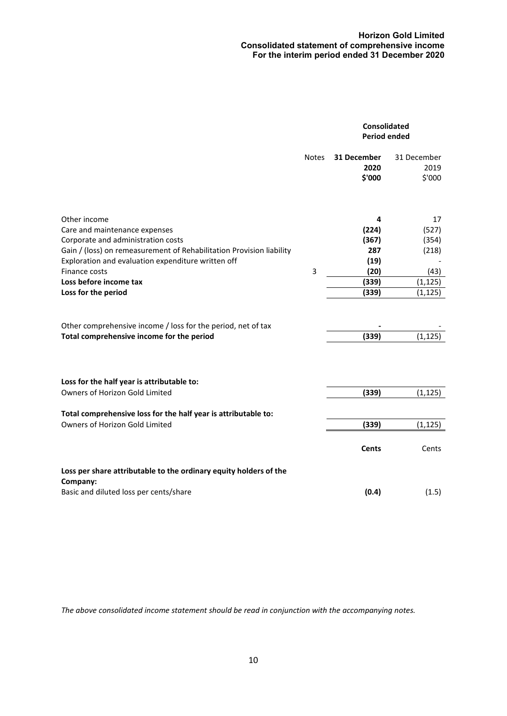### **Horizon Gold Limited Consolidated statement of comprehensive income For the interim period ended 31 December 2020**

|                                                                                                                                                                                                                   |              | <b>Consolidated</b><br><b>Period ended</b> |                               |
|-------------------------------------------------------------------------------------------------------------------------------------------------------------------------------------------------------------------|--------------|--------------------------------------------|-------------------------------|
|                                                                                                                                                                                                                   | <b>Notes</b> | 31 December<br>2020<br>\$'000              | 31 December<br>2019<br>\$'000 |
| Other income<br>Care and maintenance expenses<br>Corporate and administration costs<br>Gain / (loss) on remeasurement of Rehabilitation Provision liability<br>Exploration and evaluation expenditure written off |              | 4<br>(224)<br>(367)<br>287<br>(19)         | 17<br>(527)<br>(354)<br>(218) |
| Finance costs<br>Loss before income tax<br>Loss for the period                                                                                                                                                    | 3            | (20)<br>(339)<br>(339)                     | (43)<br>(1, 125)<br>(1, 125)  |
| Other comprehensive income / loss for the period, net of tax<br>Total comprehensive income for the period                                                                                                         |              | (339)                                      | (1, 125)                      |
| Loss for the half year is attributable to:<br><b>Owners of Horizon Gold Limited</b>                                                                                                                               |              | (339)                                      | (1, 125)                      |
| Total comprehensive loss for the half year is attributable to:<br>Owners of Horizon Gold Limited                                                                                                                  |              | (339)                                      | (1, 125)                      |
| Loss per share attributable to the ordinary equity holders of the                                                                                                                                                 |              | <b>Cents</b>                               | Cents                         |
| Company:<br>Basic and diluted loss per cents/share                                                                                                                                                                |              | (0.4)                                      | (1.5)                         |

*The above consolidated income statement should be read in conjunction with the accompanying notes.*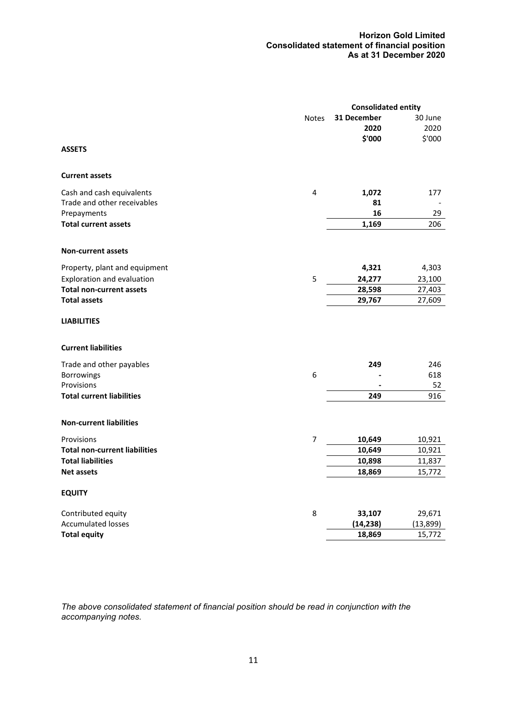### **Horizon Gold Limited Consolidated statement of financial position As at 31 December 2020**

|                                                  |              | <b>Consolidated entity</b> |            |
|--------------------------------------------------|--------------|----------------------------|------------|
|                                                  | <b>Notes</b> | 31 December                | 30 June    |
|                                                  |              | 2020                       | 2020       |
|                                                  |              | \$'000                     | \$'000     |
| <b>ASSETS</b>                                    |              |                            |            |
| <b>Current assets</b>                            |              |                            |            |
| Cash and cash equivalents                        | 4            | 1,072                      | 177        |
| Trade and other receivables                      |              | 81                         |            |
| Prepayments                                      |              | 16                         | 29         |
| <b>Total current assets</b>                      |              | 1,169                      | 206        |
|                                                  |              |                            |            |
| <b>Non-current assets</b>                        |              |                            |            |
| Property, plant and equipment                    |              | 4,321                      | 4,303      |
| Exploration and evaluation                       | 5            | 24,277                     | 23,100     |
| <b>Total non-current assets</b>                  |              | 28,598                     | 27,403     |
| <b>Total assets</b>                              |              | 29,767                     | 27,609     |
| <b>LIABILITIES</b><br><b>Current liabilities</b> |              |                            |            |
|                                                  |              |                            |            |
| Trade and other payables                         | 6            | 249                        | 246<br>618 |
| <b>Borrowings</b><br>Provisions                  |              |                            | 52         |
| <b>Total current liabilities</b>                 |              | 249                        | 916        |
|                                                  |              |                            |            |
| <b>Non-current liabilities</b>                   |              |                            |            |
| Provisions                                       | 7            | 10,649                     | 10,921     |
| <b>Total non-current liabilities</b>             |              | 10,649                     | 10,921     |
| <b>Total liabilities</b>                         |              | 10,898                     | 11,837     |
| <b>Net assets</b>                                |              | 18,869                     | 15,772     |
| <b>EQUITY</b>                                    |              |                            |            |
| Contributed equity                               | 8            | 33,107                     | 29,671     |
| <b>Accumulated losses</b>                        |              | (14, 238)                  | (13,899)   |
| <b>Total equity</b>                              |              | 18,869                     | 15,772     |
|                                                  |              |                            |            |

*The above consolidated statement of financial position should be read in conjunction with the accompanying notes.*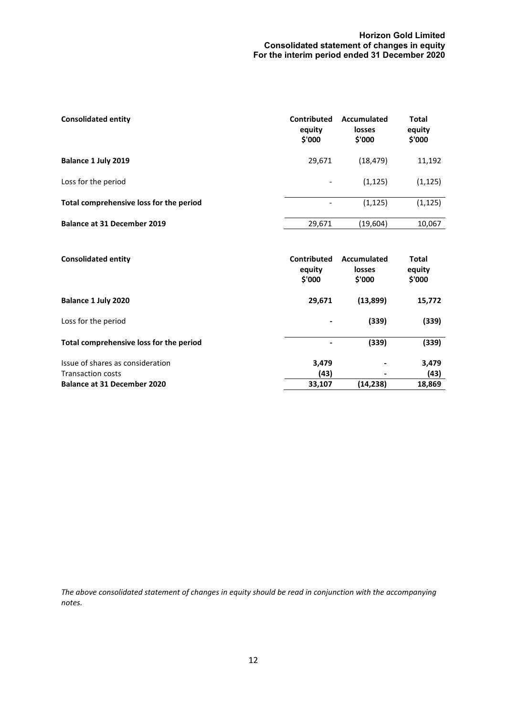### **Horizon Gold Limited Consolidated statement of changes in equity For the interim period ended 31 December 2020**

| <b>Consolidated entity</b>              | Contributed<br>equity<br>\$'000 | Accumulated<br>losses<br>\$'000 | Total<br>equity<br>\$'000 |
|-----------------------------------------|---------------------------------|---------------------------------|---------------------------|
| Balance 1 July 2019                     | 29,671                          | (18, 479)                       | 11,192                    |
| Loss for the period                     | $\overline{\phantom{a}}$        | (1, 125)                        | (1, 125)                  |
| Total comprehensive loss for the period | -                               | (1, 125)                        | (1, 125)                  |
| <b>Balance at 31 December 2019</b>      | 29,671                          | (19,604)                        | 10,067                    |

| <b>Consolidated entity</b>              | Contributed<br>equity<br>\$'000 | Accumulated<br>losses<br>\$'000 | <b>Total</b><br>equity<br>\$'000 |
|-----------------------------------------|---------------------------------|---------------------------------|----------------------------------|
| Balance 1 July 2020                     | 29,671                          | (13,899)                        | 15,772                           |
| Loss for the period                     |                                 | (339)                           | (339)                            |
| Total comprehensive loss for the period | $\overline{\phantom{a}}$        | (339)                           | (339)                            |
| Issue of shares as consideration        | 3,479                           |                                 | 3,479                            |
| <b>Transaction costs</b>                | (43)                            |                                 | (43)                             |
| <b>Balance at 31 December 2020</b>      | 33,107                          | (14,238)                        | 18,869                           |

*The above consolidated statement of changes in equity should be read in conjunction with the accompanying notes.*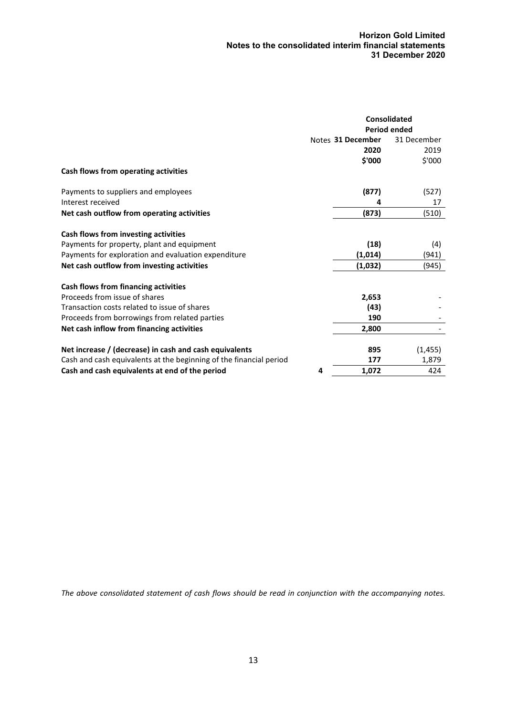|                                                                    | <b>Consolidated</b> |             |
|--------------------------------------------------------------------|---------------------|-------------|
|                                                                    | <b>Period ended</b> |             |
|                                                                    | Notes 31 December   | 31 December |
|                                                                    | 2020                | 2019        |
|                                                                    | \$'000              | \$'000      |
| Cash flows from operating activities                               |                     |             |
| Payments to suppliers and employees                                | (877)               | (527)       |
| Interest received                                                  |                     | 17          |
| Net cash outflow from operating activities                         | (873)               | (510)       |
| Cash flows from investing activities                               |                     |             |
| Payments for property, plant and equipment                         | (18)                | (4)         |
| Payments for exploration and evaluation expenditure                | (1,014)             | (941)       |
| Net cash outflow from investing activities                         | (1,032)             | (945)       |
| Cash flows from financing activities                               |                     |             |
| Proceeds from issue of shares                                      | 2,653               |             |
| Transaction costs related to issue of shares                       | (43)                |             |
| Proceeds from borrowings from related parties                      | 190                 |             |
| Net cash inflow from financing activities                          | 2,800               |             |
| Net increase / (decrease) in cash and cash equivalents             | 895                 | (1, 455)    |
| Cash and cash equivalents at the beginning of the financial period | 177                 | 1,879       |
| Cash and cash equivalents at end of the period<br>4                | 1,072               | 424         |

*The above consolidated statement of cash flows should be read in conjunction with the accompanying notes.*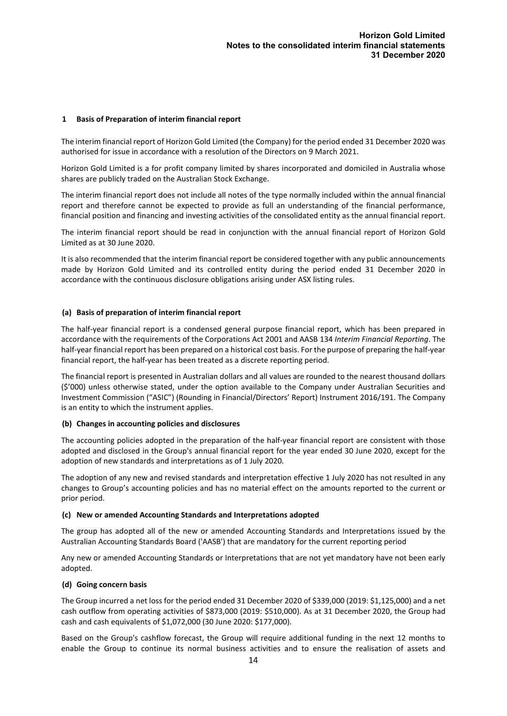### **1 Basis of Preparation of interim financial report**

The interim financial report of Horizon Gold Limited (the Company) for the period ended 31 December 2020 was authorised for issue in accordance with a resolution of the Directors on 9 March 2021.

Horizon Gold Limited is a for profit company limited by shares incorporated and domiciled in Australia whose shares are publicly traded on the Australian Stock Exchange.

The interim financial report does not include all notes of the type normally included within the annual financial report and therefore cannot be expected to provide as full an understanding of the financial performance, financial position and financing and investing activities of the consolidated entity as the annual financial report.

The interim financial report should be read in conjunction with the annual financial report of Horizon Gold Limited as at 30 June 2020.

It is also recommended that the interim financial report be considered together with any public announcements made by Horizon Gold Limited and its controlled entity during the period ended 31 December 2020 in accordance with the continuous disclosure obligations arising under ASX listing rules.

#### **(a) Basis of preparation of interim financial report**

The half-year financial report is a condensed general purpose financial report, which has been prepared in accordance with the requirements of the Corporations Act 2001 and AASB 134 *Interim Financial Reporting*. The half-year financial report has been prepared on a historical cost basis. For the purpose of preparing the half-year financial report, the half-year has been treated as a discrete reporting period.

The financial report is presented in Australian dollars and all values are rounded to the nearest thousand dollars (\$'000) unless otherwise stated, under the option available to the Company under Australian Securities and Investment Commission ("ASIC") (Rounding in Financial/Directors' Report) Instrument 2016/191. The Company is an entity to which the instrument applies.

#### **(b) Changes in accounting policies and disclosures**

The accounting policies adopted in the preparation of the half-year financial report are consistent with those adopted and disclosed in the Group's annual financial report for the year ended 30 June 2020, except for the adoption of new standards and interpretations as of 1 July 2020.

The adoption of any new and revised standards and interpretation effective 1 July 2020 has not resulted in any changes to Group's accounting policies and has no material effect on the amounts reported to the current or prior period.

#### **(c) New or amended Accounting Standards and Interpretations adopted**

The group has adopted all of the new or amended Accounting Standards and Interpretations issued by the Australian Accounting Standards Board ('AASB') that are mandatory for the current reporting period

Any new or amended Accounting Standards or Interpretations that are not yet mandatory have not been early adopted.

#### **(d) Going concern basis**

The Group incurred a net loss for the period ended 31 December 2020 of \$339,000 (2019: \$1,125,000) and a net cash outflow from operating activities of \$873,000 (2019: \$510,000). As at 31 December 2020, the Group had cash and cash equivalents of \$1,072,000 (30 June 2020: \$177,000).

Based on the Group's cashflow forecast, the Group will require additional funding in the next 12 months to enable the Group to continue its normal business activities and to ensure the realisation of assets and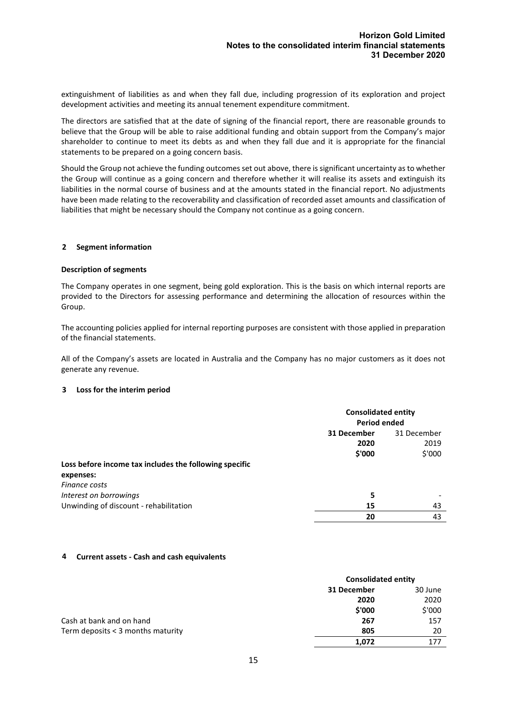extinguishment of liabilities as and when they fall due, including progression of its exploration and project development activities and meeting its annual tenement expenditure commitment.

The directors are satisfied that at the date of signing of the financial report, there are reasonable grounds to believe that the Group will be able to raise additional funding and obtain support from the Company's major shareholder to continue to meet its debts as and when they fall due and it is appropriate for the financial statements to be prepared on a going concern basis.

Should the Group not achieve the funding outcomes set out above, there is significant uncertainty as to whether the Group will continue as a going concern and therefore whether it will realise its assets and extinguish its liabilities in the normal course of business and at the amounts stated in the financial report. No adjustments have been made relating to the recoverability and classification of recorded asset amounts and classification of liabilities that might be necessary should the Company not continue as a going concern.

#### **2 Segment information**

#### **Description of segments**

The Company operates in one segment, being gold exploration. This is the basis on which internal reports are provided to the Directors for assessing performance and determining the allocation of resources within the Group.

The accounting policies applied for internal reporting purposes are consistent with those applied in preparation of the financial statements.

All of the Company's assets are located in Australia and the Company has no major customers as it does not generate any revenue.

### **3 Loss for the interim period**

|                                                        | <b>Consolidated entity</b><br><b>Period ended</b> |             |
|--------------------------------------------------------|---------------------------------------------------|-------------|
|                                                        | 31 December                                       | 31 December |
|                                                        | 2020                                              | 2019        |
|                                                        | \$'000                                            | \$'000      |
| Loss before income tax includes the following specific |                                                   |             |
| expenses:                                              |                                                   |             |
| Finance costs                                          |                                                   |             |
| Interest on borrowings                                 | 5                                                 |             |
| Unwinding of discount - rehabilitation                 | 15                                                | 43          |
|                                                        | 20                                                | 43          |

### **4 Current assets - Cash and cash equivalents**

|                                   | <b>Consolidated entity</b> |         |
|-----------------------------------|----------------------------|---------|
|                                   | 31 December                | 30 June |
|                                   | 2020                       | 2020    |
|                                   | \$'000                     | \$'000  |
| Cash at bank and on hand          | 267                        | 157     |
| Term deposits < 3 months maturity | 805                        | 20      |
|                                   | 1,072                      | 177     |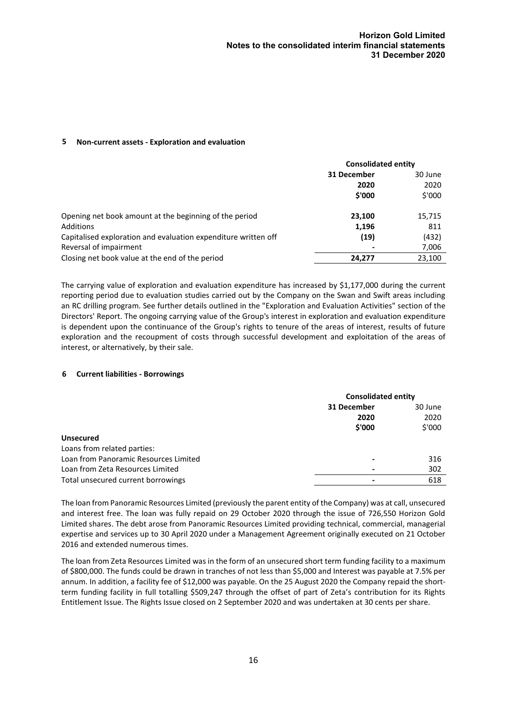#### **5 Non-current assets - Exploration and evaluation**

|                                                                | <b>Consolidated entity</b> |         |  |  |  |  |  |  |  |  |  |  |  |  |  |  |  |  |  |  |  |  |  |  |  |  |
|----------------------------------------------------------------|----------------------------|---------|--|--|--|--|--|--|--|--|--|--|--|--|--|--|--|--|--|--|--|--|--|--|--|--|
|                                                                | 31 December<br>2020        | 30 June |  |  |  |  |  |  |  |  |  |  |  |  |  |  |  |  |  |  |  |  |  |  |  |  |
|                                                                |                            |         |  |  |  |  |  |  |  |  |  |  |  |  |  |  |  |  |  |  |  |  |  |  |  |  |
|                                                                | \$'000                     | \$'000  |  |  |  |  |  |  |  |  |  |  |  |  |  |  |  |  |  |  |  |  |  |  |  |  |
| Opening net book amount at the beginning of the period         | 23,100                     | 15,715  |  |  |  |  |  |  |  |  |  |  |  |  |  |  |  |  |  |  |  |  |  |  |  |  |
| Additions                                                      | 1,196                      | 811     |  |  |  |  |  |  |  |  |  |  |  |  |  |  |  |  |  |  |  |  |  |  |  |  |
| Capitalised exploration and evaluation expenditure written off | (19)                       | (432)   |  |  |  |  |  |  |  |  |  |  |  |  |  |  |  |  |  |  |  |  |  |  |  |  |
| Reversal of impairment                                         |                            | 7,006   |  |  |  |  |  |  |  |  |  |  |  |  |  |  |  |  |  |  |  |  |  |  |  |  |
| Closing net book value at the end of the period                | 24,277                     | 23,100  |  |  |  |  |  |  |  |  |  |  |  |  |  |  |  |  |  |  |  |  |  |  |  |  |

The carrying value of exploration and evaluation expenditure has increased by \$1,177,000 during the current reporting period due to evaluation studies carried out by the Company on the Swan and Swift areas including an RC drilling program. See further details outlined in the "Exploration and Evaluation Activities" section of the Directors' Report. The ongoing carrying value of the Group's interest in exploration and evaluation expenditure is dependent upon the continuance of the Group's rights to tenure of the areas of interest, results of future exploration and the recoupment of costs through successful development and exploitation of the areas of interest, or alternatively, by their sale.

### **6 Current liabilities - Borrowings**

|                                       | <b>Consolidated entity</b> |        |
|---------------------------------------|----------------------------|--------|
|                                       | 31 December                |        |
|                                       | 2020                       | 2020   |
|                                       | \$'000                     | \$'000 |
| <b>Unsecured</b>                      |                            |        |
| Loans from related parties:           |                            |        |
| Loan from Panoramic Resources Limited | ٠                          | 316    |
| Loan from Zeta Resources Limited      | -                          | 302    |
| Total unsecured current borrowings    | ۰                          | 618    |

The loan from Panoramic Resources Limited (previously the parent entity of the Company) was at call, unsecured and interest free. The loan was fully repaid on 29 October 2020 through the issue of 726,550 Horizon Gold Limited shares. The debt arose from Panoramic Resources Limited providing technical, commercial, managerial expertise and services up to 30 April 2020 under a Management Agreement originally executed on 21 October 2016 and extended numerous times.

The loan from Zeta Resources Limited was in the form of an unsecured short term funding facility to a maximum of \$800,000. The funds could be drawn in tranches of not less than \$5,000 and Interest was payable at 7.5% per annum. In addition, a facility fee of \$12,000 was payable. On the 25 August 2020 the Company repaid the shortterm funding facility in full totalling \$509,247 through the offset of part of Zeta's contribution for its Rights Entitlement Issue. The Rights Issue closed on 2 September 2020 and was undertaken at 30 cents per share.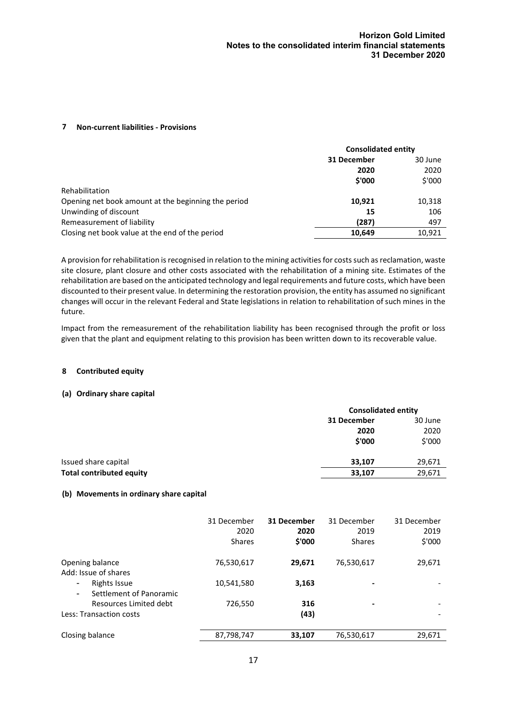### **7 Non-current liabilities - Provisions**

|                                                     | <b>Consolidated entity</b> |        |
|-----------------------------------------------------|----------------------------|--------|
|                                                     | 31 December                |        |
|                                                     | 2020                       | 2020   |
|                                                     | \$'000                     | \$'000 |
| Rehabilitation                                      |                            |        |
| Opening net book amount at the beginning the period | 10,921                     | 10,318 |
| Unwinding of discount                               | 15                         | 106    |
| Remeasurement of liability                          | (287)                      | 497    |
| Closing net book value at the end of the period     | 10.649                     | 10,921 |

A provision for rehabilitation is recognised in relation to the mining activities for costs such as reclamation, waste site closure, plant closure and other costs associated with the rehabilitation of a mining site. Estimates of the rehabilitation are based on the anticipated technology and legal requirements and future costs, which have been discounted to their present value. In determining the restoration provision, the entity has assumed no significant changes will occur in the relevant Federal and State legislations in relation to rehabilitation of such mines in the future.

Impact from the remeasurement of the rehabilitation liability has been recognised through the profit or loss given that the plant and equipment relating to this provision has been written down to its recoverable value.

### **8 Contributed equity**

### **(a) Ordinary share capital**

|                                 | <b>Consolidated entity</b> |         |
|---------------------------------|----------------------------|---------|
|                                 | 31 December                | 30 June |
|                                 | 2020                       | 2020    |
|                                 | \$'000                     | \$'000  |
| Issued share capital            | 33,107                     | 29,671  |
| <b>Total contributed equity</b> | 33,107                     | 29,671  |

### **(b) Movements in ordinary share capital**

|                                                                             | 31 December<br>2020<br><b>Shares</b> | 31 December<br>2020<br>\$'000 | 31 December<br>2019<br><b>Shares</b> | 31 December<br>2019<br>\$'000 |
|-----------------------------------------------------------------------------|--------------------------------------|-------------------------------|--------------------------------------|-------------------------------|
| Opening balance<br>Add: Issue of shares                                     | 76,530,617                           | 29,671                        | 76,530,617                           | 29,671                        |
| Rights Issue<br>$\blacksquare$<br>Settlement of Panoramic<br>$\blacksquare$ | 10,541,580                           | 3,163                         | $\overline{\phantom{0}}$             |                               |
| Resources Limited debt<br>Less: Transaction costs                           | 726,550                              | 316<br>(43)                   | $\,$                                 |                               |
| Closing balance                                                             | 87,798,747                           | 33,107                        | 76,530,617                           | 29,671                        |